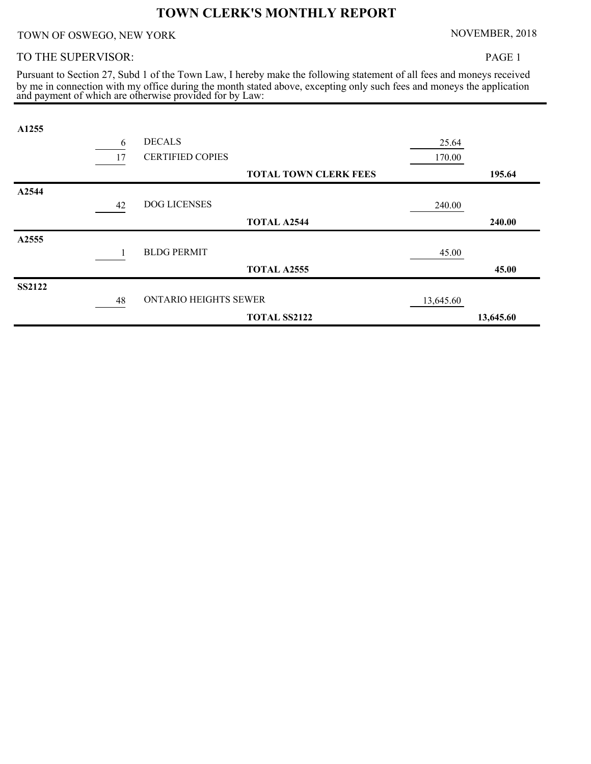## **TOWN CLERK'S MONTHLY REPORT**

TOWN OF OSWEGO, NEW YORK NOVEMBER, 2018

## TO THE SUPERVISOR:

PAGE 1

and payment of which are otherwise provided for by Law: by me in connection with my office during the month stated above, excepting only such fees and moneys the application Pursuant to Section 27, Subd 1 of the Town Law, I hereby make the following statement of all fees and moneys received

| A1255         |    |                              |                              |           |           |
|---------------|----|------------------------------|------------------------------|-----------|-----------|
|               | 6  | <b>DECALS</b>                |                              | 25.64     |           |
|               | 17 | <b>CERTIFIED COPIES</b>      |                              | 170.00    |           |
|               |    |                              | <b>TOTAL TOWN CLERK FEES</b> |           | 195.64    |
| A2544         |    |                              |                              |           |           |
|               | 42 | <b>DOG LICENSES</b>          |                              | 240.00    |           |
|               |    |                              | <b>TOTAL A2544</b>           |           | 240.00    |
| A2555         |    |                              |                              |           |           |
|               |    | <b>BLDG PERMIT</b>           |                              | 45.00     |           |
|               |    |                              | <b>TOTAL A2555</b>           |           | 45.00     |
| <b>SS2122</b> |    |                              |                              |           |           |
|               | 48 | <b>ONTARIO HEIGHTS SEWER</b> |                              | 13,645.60 |           |
|               |    |                              | <b>TOTAL SS2122</b>          |           | 13,645.60 |